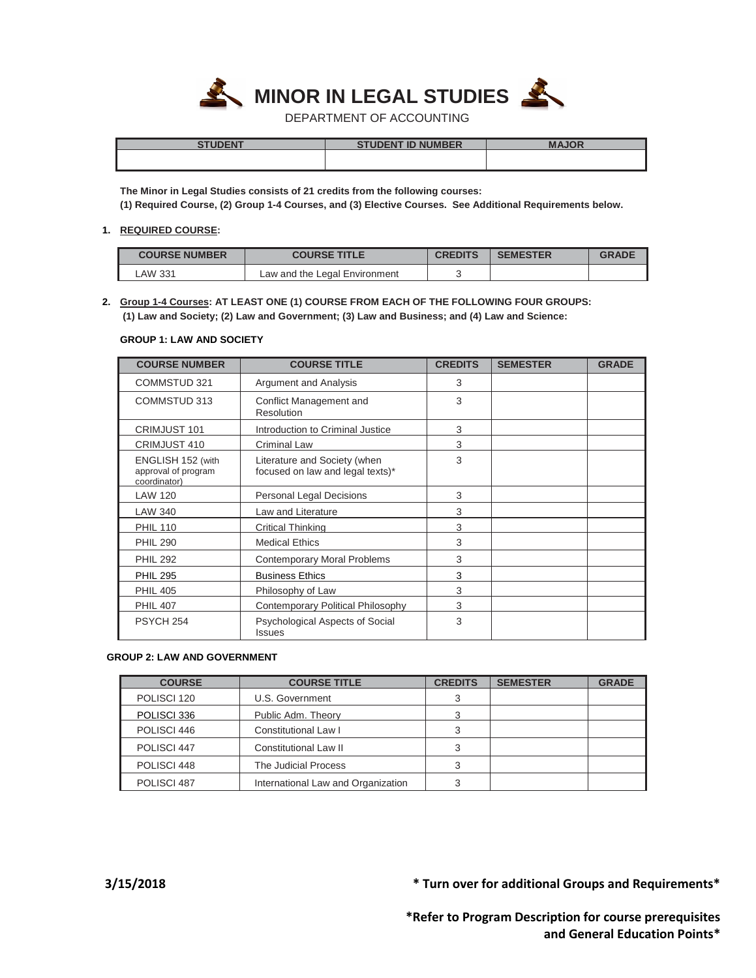

DEPARTMENT OF ACCOUNTING

| <b>CTUDENT</b> | <b>FNT IN NIIMRER</b><br>NENT | <b>MAIOD</b> |
|----------------|-------------------------------|--------------|
|                |                               |              |
|                |                               |              |

**The Minor in Legal Studies consists of 21 credits from the following courses: (1) Required Course, (2) Group 1-4 Courses, and (3) Elective Courses. See Additional Requirements below.**

### **1. REQUIRED COURSE:**

| <b>COURSE NUMBER</b> | <b>COURSE TITLE</b>           | <b>CREDITS</b> | <b>SEMESTER</b> | <b>GRADE</b> |
|----------------------|-------------------------------|----------------|-----------------|--------------|
| LAW 331              | Law and the Legal Environment |                |                 |              |

# **2. Group 1-4 Courses: AT LEAST ONE (1) COURSE FROM EACH OF THE FOLLOWING FOUR GROUPS: (1) Law and Society; (2) Law and Government; (3) Law and Business; and (4) Law and Science:**

### **GROUP 1: LAW AND SOCIETY**

| <b>COURSE NUMBER</b>                                     | <b>COURSE TITLE</b>                                              | <b>CREDITS</b> | <b>SEMESTER</b> | <b>GRADE</b> |
|----------------------------------------------------------|------------------------------------------------------------------|----------------|-----------------|--------------|
| <b>COMMSTUD 321</b>                                      | <b>Argument and Analysis</b>                                     | 3              |                 |              |
| COMMSTUD 313                                             | Conflict Management and<br>Resolution                            | 3              |                 |              |
| CRIMJUST 101                                             | Introduction to Criminal Justice                                 | 3              |                 |              |
| CRIMJUST 410                                             | <b>Criminal Law</b>                                              | 3              |                 |              |
| ENGLISH 152 (with<br>approval of program<br>coordinator) | Literature and Society (when<br>focused on law and legal texts)* | 3              |                 |              |
| <b>LAW 120</b>                                           | <b>Personal Legal Decisions</b>                                  | 3              |                 |              |
| <b>LAW 340</b>                                           | Law and Literature                                               | 3              |                 |              |
| <b>PHIL 110</b>                                          | <b>Critical Thinking</b>                                         | 3              |                 |              |
| <b>PHIL 290</b>                                          | <b>Medical Ethics</b>                                            | 3              |                 |              |
| <b>PHIL 292</b>                                          | <b>Contemporary Moral Problems</b>                               | 3              |                 |              |
| <b>PHIL 295</b>                                          | <b>Business Ethics</b>                                           | 3              |                 |              |
| <b>PHIL 405</b>                                          | Philosophy of Law                                                | 3              |                 |              |
| <b>PHIL 407</b>                                          | <b>Contemporary Political Philosophy</b>                         | 3              |                 |              |
| PSYCH <sub>254</sub>                                     | Psychological Aspects of Social<br><b>Issues</b>                 | 3              |                 |              |

## **GROUP 2: LAW AND GOVERNMENT**

| <b>COURSE</b>          | <b>COURSE TITLE</b>                | <b>CREDITS</b> | <b>SEMESTER</b> | <b>GRADE</b> |
|------------------------|------------------------------------|----------------|-----------------|--------------|
| POLISCI 120            | U.S. Government                    |                |                 |              |
| POLISCI 336            | Public Adm. Theory                 | 3              |                 |              |
| POLISCI 446            | <b>Constitutional Law I</b>        |                |                 |              |
| POLISCI 447            | Constitutional Law II              |                |                 |              |
| POLISCI 448            | The Judicial Process               | 3              |                 |              |
| POLISCI <sub>487</sub> | International Law and Organization |                |                 |              |